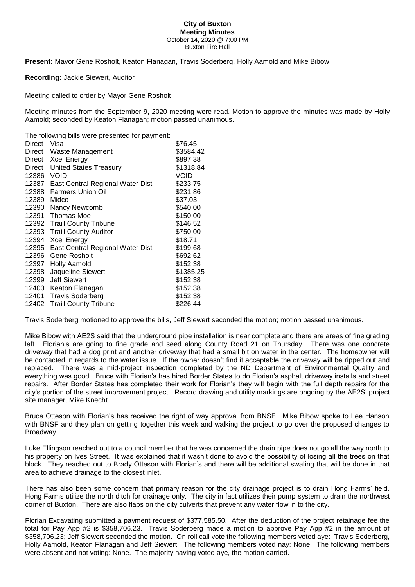## **City of Buxton Meeting Minutes** October 14, 2020 @ 7:00 PM Buxton Fire Hall

**Present:** Mayor Gene Rosholt, Keaton Flanagan, Travis Soderberg, Holly Aamold and Mike Bibow

**Recording:** Jackie Siewert, Auditor

Meeting called to order by Mayor Gene Rosholt

Meeting minutes from the September 9, 2020 meeting were read. Motion to approve the minutes was made by Holly Aamold; seconded by Keaton Flanagan; motion passed unanimous.

The following bills were presented for payment:

| Direct | Visa                             | \$76.45     |
|--------|----------------------------------|-------------|
| Direct | Waste Management                 | \$3584.42   |
| Direct | Xcel Energy                      | \$897.38    |
| Direct | <b>United States Treasury</b>    | \$1318.84   |
| 12386  | <b>VOID</b>                      | <b>VOID</b> |
| 12387  | East Central Regional Water Dist | \$233.75    |
| 12388  | <b>Farmers Union Oil</b>         | \$231.86    |
| 12389  | Midco                            | \$37.03     |
| 12390  | Nancy Newcomb                    | \$540.00    |
| 12391  | Thomas Moe                       | \$150.00    |
|        | 12392 Traill County Tribune      | \$146.52    |
| 12393  | <b>Traill County Auditor</b>     | \$750.00    |
| 12394  | <b>Xcel Energy</b>               | \$18.71     |
| 12395  | East Central Regional Water Dist | \$199.68    |
| 12396  | Gene Rosholt                     | \$692.62    |
| 12397  | Holly Aamold                     | \$152.38    |
| 12398  | Jaqueline Siewert                | \$1385.25   |
| 12399  | <b>Jeff Siewert</b>              | \$152.38    |
| 12400  | Keaton Flanagan                  | \$152.38    |
| 12401  | <b>Travis Soderberg</b>          | \$152.38    |
| 12402  | <b>Traill County Tribune</b>     | \$226.44    |

Travis Soderberg motioned to approve the bills, Jeff Siewert seconded the motion; motion passed unanimous.

Mike Bibow with AE2S said that the underground pipe installation is near complete and there are areas of fine grading left. Florian's are going to fine grade and seed along County Road 21 on Thursday. There was one concrete driveway that had a dog print and another driveway that had a small bit on water in the center. The homeowner will be contacted in regards to the water issue. If the owner doesn't find it acceptable the driveway will be ripped out and replaced. There was a mid-project inspection completed by the ND Department of Environmental Quality and everything was good. Bruce with Florian's has hired Border States to do Florian's asphalt driveway installs and street repairs. After Border States has completed their work for Florian's they will begin with the full depth repairs for the city's portion of the street improvement project. Record drawing and utility markings are ongoing by the AE2S' project site manager, Mike Knecht.

Bruce Otteson with Florian's has received the right of way approval from BNSF. Mike Bibow spoke to Lee Hanson with BNSF and they plan on getting together this week and walking the project to go over the proposed changes to Broadway.

Luke Ellingson reached out to a council member that he was concerned the drain pipe does not go all the way north to his property on Ives Street. It was explained that it wasn't done to avoid the possibility of losing all the trees on that block. They reached out to Brady Otteson with Florian's and there will be additional swaling that will be done in that area to achieve drainage to the closest inlet.

There has also been some concern that primary reason for the city drainage project is to drain Hong Farms' field. Hong Farms utilize the north ditch for drainage only. The city in fact utilizes their pump system to drain the northwest corner of Buxton. There are also flaps on the city culverts that prevent any water flow in to the city.

Florian Excavating submitted a payment request of \$377,585.50. After the deduction of the project retainage fee the total for Pay App #2 is \$358,706.23. Travis Soderberg made a motion to approve Pay App #2 in the amount of \$358,706.23; Jeff Siewert seconded the motion. On roll call vote the following members voted aye: Travis Soderberg, Holly Aamold, Keaton Flanagan and Jeff Siewert. The following members voted nay: None. The following members were absent and not voting: None. The majority having voted aye, the motion carried.